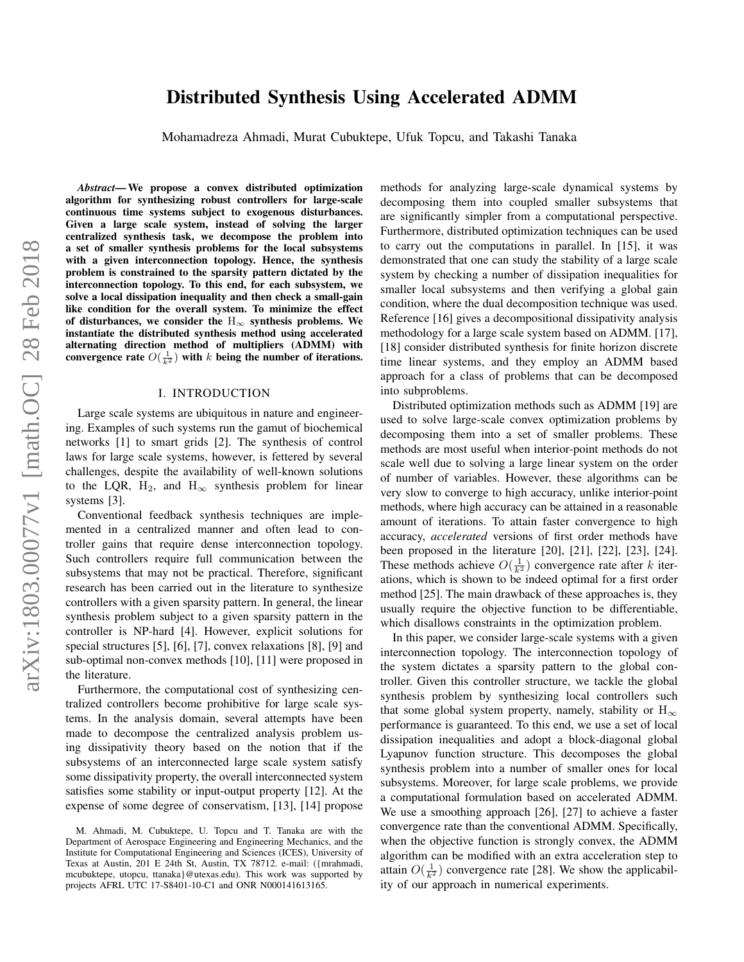# arXiv:1803.00077v1 [math.OC] 28 Feb 2018 arXiv:1803.00077v1 [math.OC] 28 Feb 2018

# Distributed Synthesis Using Accelerated ADMM

Mohamadreza Ahmadi, Murat Cubuktepe, Ufuk Topcu, and Takashi Tanaka

*Abstract*— We propose a convex distributed optimization algorithm for synthesizing robust controllers for large-scale continuous time systems subject to exogenous disturbances. Given a large scale system, instead of solving the larger centralized synthesis task, we decompose the problem into a set of smaller synthesis problems for the local subsystems with a given interconnection topology. Hence, the synthesis problem is constrained to the sparsity pattern dictated by the interconnection topology. To this end, for each subsystem, we solve a local dissipation inequality and then check a small-gain like condition for the overall system. To minimize the effect of disturbances, we consider the  $H_{\infty}$  synthesis problems. We instantiate the distributed synthesis method using accelerated alternating direction method of multipliers (ADMM) with convergence rate  $O(\frac{1}{k^2})$  with k being the number of iterations.

# I. INTRODUCTION

Large scale systems are ubiquitous in nature and engineering. Examples of such systems run the gamut of biochemical networks [1] to smart grids [2]. The synthesis of control laws for large scale systems, however, is fettered by several challenges, despite the availability of well-known solutions to the LQR, H<sub>2</sub>, and H<sub>∞</sub> synthesis problem for linear systems [3].

Conventional feedback synthesis techniques are implemented in a centralized manner and often lead to controller gains that require dense interconnection topology. Such controllers require full communication between the subsystems that may not be practical. Therefore, significant research has been carried out in the literature to synthesize controllers with a given sparsity pattern. In general, the linear synthesis problem subject to a given sparsity pattern in the controller is NP-hard [4]. However, explicit solutions for special structures [5], [6], [7], convex relaxations [8], [9] and sub-optimal non-convex methods [10], [11] were proposed in the literature.

Furthermore, the computational cost of synthesizing centralized controllers become prohibitive for large scale systems. In the analysis domain, several attempts have been made to decompose the centralized analysis problem using dissipativity theory based on the notion that if the subsystems of an interconnected large scale system satisfy some dissipativity property, the overall interconnected system satisfies some stability or input-output property [12]. At the expense of some degree of conservatism, [13], [14] propose methods for analyzing large-scale dynamical systems by decomposing them into coupled smaller subsystems that are significantly simpler from a computational perspective. Furthermore, distributed optimization techniques can be used to carry out the computations in parallel. In [15], it was demonstrated that one can study the stability of a large scale system by checking a number of dissipation inequalities for smaller local subsystems and then verifying a global gain condition, where the dual decomposition technique was used. Reference [16] gives a decompositional dissipativity analysis methodology for a large scale system based on ADMM. [17], [18] consider distributed synthesis for finite horizon discrete time linear systems, and they employ an ADMM based approach for a class of problems that can be decomposed into subproblems.

Distributed optimization methods such as ADMM [19] are used to solve large-scale convex optimization problems by decomposing them into a set of smaller problems. These methods are most useful when interior-point methods do not scale well due to solving a large linear system on the order of number of variables. However, these algorithms can be very slow to converge to high accuracy, unlike interior-point methods, where high accuracy can be attained in a reasonable amount of iterations. To attain faster convergence to high accuracy, *accelerated* versions of first order methods have been proposed in the literature [20], [21], [22], [23], [24]. These methods achieve  $O(\frac{1}{k^2})$  convergence rate after k iterations, which is shown to be indeed optimal for a first order method [25]. The main drawback of these approaches is, they usually require the objective function to be differentiable, which disallows constraints in the optimization problem.

In this paper, we consider large-scale systems with a given interconnection topology. The interconnection topology of the system dictates a sparsity pattern to the global controller. Given this controller structure, we tackle the global synthesis problem by synthesizing local controllers such that some global system property, namely, stability or  $H_{\infty}$ performance is guaranteed. To this end, we use a set of local dissipation inequalities and adopt a block-diagonal global Lyapunov function structure. This decomposes the global synthesis problem into a number of smaller ones for local subsystems. Moreover, for large scale problems, we provide a computational formulation based on accelerated ADMM. We use a smoothing approach [26], [27] to achieve a faster convergence rate than the conventional ADMM. Specifically, when the objective function is strongly convex, the ADMM algorithm can be modified with an extra acceleration step to attain  $O(\frac{1}{k^2})$  convergence rate [28]. We show the applicability of our approach in numerical experiments.

M. Ahmadi, M. Cubuktepe, U. Topcu and T. Tanaka are with the Department of Aerospace Engineering and Engineering Mechanics, and the Institute for Computational Engineering and Sciences (ICES), University of Texas at Austin, 201 E 24th St, Austin, TX 78712. e-mail: ({mrahmadi, mcubuktepe, utopcu, ttanaka}@utexas.edu). This work was supported by projects AFRL UTC 17-S8401-10-C1 and ONR N000141613165.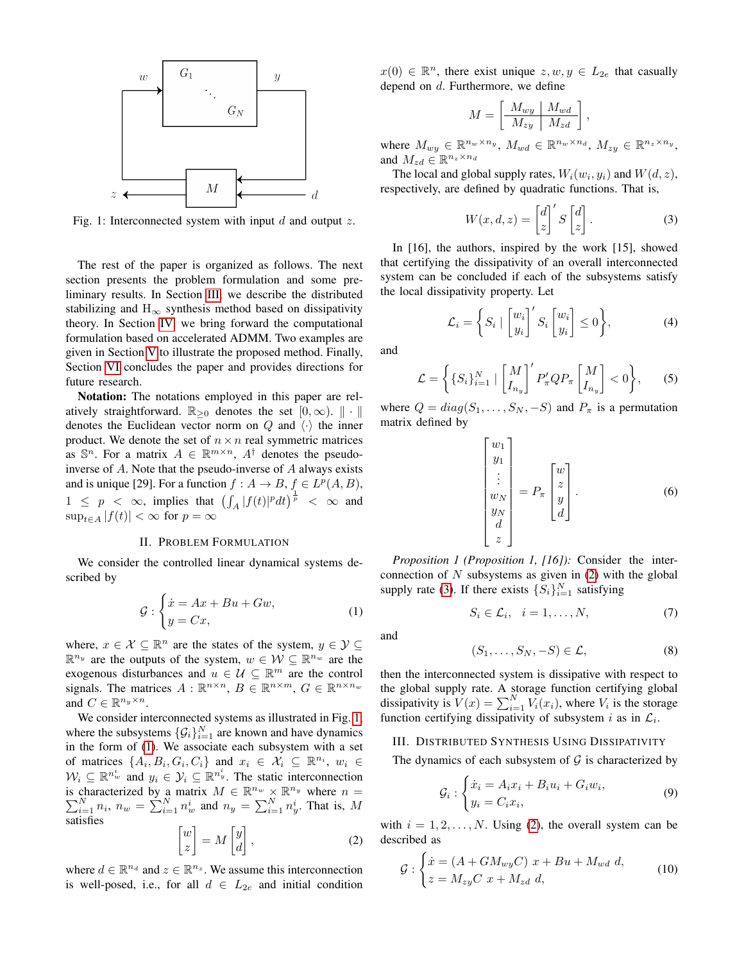<span id="page-1-1"></span>

Fig. 1: Interconnected system with input  $d$  and output  $z$ .

The rest of the paper is organized as follows. The next section presents the problem formulation and some preliminary results. In Section [III,](#page-1-0) we describe the distributed stabilizing and  $H_{\infty}$  synthesis method based on dissipativity theory. In Section [IV,](#page-3-0) we bring forward the computational formulation based on accelerated ADMM. Two examples are given in Section [V](#page-4-0) to illustrate the proposed method. Finally, Section [VI](#page-5-0) concludes the paper and provides directions for future research.

Notation: The notations employed in this paper are relatively straightforward.  $\mathbb{R}_{\geq 0}$  denotes the set  $[0, \infty)$ .  $\|\cdot\|$ denotes the Euclidean vector norm on Q and  $\langle \cdot \rangle$  the inner product. We denote the set of  $n \times n$  real symmetric matrices as  $\mathbb{S}^n$ . For a matrix  $A \in \mathbb{R}^{m \times n}$ ,  $A^{\dagger}$  denotes the pseudoinverse of A. Note that the pseudo-inverse of A always exists and is unique [29]. For a function  $f : A \to B$ ,  $f \in L^p(A, B)$ ,  $1 \leq p \leq \infty$ , implies that  $\left(\int_A |f(t)|^p dt\right)^{\frac{1}{p}} < \infty$  and  $\sup_{t\in A}|f(t)| < \infty$  for  $p = \infty$ 

# II. PROBLEM FORMULATION

We consider the controlled linear dynamical systems described by

$$
\mathcal{G}: \begin{cases} \dot{x} = Ax + Bu + Gw, \\ y = Cx, \end{cases} \tag{1}
$$

where,  $x \in \mathcal{X} \subseteq \mathbb{R}^n$  are the states of the system,  $y \in \mathcal{Y} \subseteq$  $\mathbb{R}^{n_y}$  are the outputs of the system,  $w \in \mathcal{W} \subseteq \mathbb{R}^{n_w}$  are the exogenous disturbances and  $u \in \mathcal{U} \subseteq \mathbb{R}^m$  are the control signals. The matrices  $A: \mathbb{R}^{n \times n}$ ,  $B \in \mathbb{R}^{n \times m}$ ,  $G \in \mathbb{R}^{n \times n_w}$ and  $C \in \mathbb{R}^{n_y \times n}$ .

We consider interconnected systems as illustrated in Fig. [1,](#page-1-1) where the subsystems  $\{\mathcal{G}_i\}_{i=1}^N$  are known and have dynamics in the form of [\(1\)](#page-1-2). We associate each subsystem with a set of matrices  $\{A_i, B_i, G_i, C_i\}$  and  $x_i \in \mathcal{X}_i \subseteq \mathbb{R}^{n_i}$ ,  $w_i \in$  $W_i \subseteq \mathbb{R}^{n_w^i}$  and  $y_i \in \mathcal{Y}_i \subseteq \mathbb{R}^{n_y^i}$ . The static interconnection is characterized by a matrix  $M \in \mathbb{R}^{n_w} \times \mathbb{R}$  $\sum$ characterized by a matrix  $M \in \mathbb{R}^{n_w} \times \mathbb{R}^{n_y}$  where  $n = N \choose i=1} n_i$ ,  $n_w = \sum_{i=1}^{N} n_w^i$  and  $n_y = \sum_{i=1}^{N} n_y^i$ . That is, M satisfies

<span id="page-1-3"></span>
$$
\begin{bmatrix} w \\ z \end{bmatrix} = M \begin{bmatrix} y \\ d \end{bmatrix}, \tag{2}
$$

where  $d \in \mathbb{R}^{n_d}$  and  $z \in \mathbb{R}^{n_z}$ . We assume this interconnection is well-posed, i.e., for all  $d \in L_{2e}$  and initial condition

 $x(0) \in \mathbb{R}^n$ , there exist unique  $z, w, y \in L_{2e}$  that casually depend on d. Furthermore, we define

$$
M = \left[\begin{array}{c|c} M_{wy} & M_{wd} \\ \hline M_{zy} & M_{zd} \end{array}\right],
$$

where  $M_{wy} \in \mathbb{R}^{n_w \times n_y}$ ,  $M_{wd} \in \mathbb{R}^{n_w \times n_d}$ ,  $M_{zy} \in \mathbb{R}^{n_z \times n_y}$ , and  $M_{zd} \in \mathbb{R}^{n_z \times n_d}$ 

The local and global supply rates,  $W_i(w_i, y_i)$  and  $W(d, z)$ , respectively, are defined by quadratic functions. That is,

<span id="page-1-4"></span>
$$
W(x, d, z) = \begin{bmatrix} d \\ z \end{bmatrix}^{\prime} S \begin{bmatrix} d \\ z \end{bmatrix}.
$$
 (3)

In [16], the authors, inspired by the work [15], showed that certifying the dissipativity of an overall interconnected system can be concluded if each of the subsystems satisfy the local dissipativity property. Let

$$
\mathcal{L}_i = \left\{ S_i \mid \begin{bmatrix} w_i \\ y_i \end{bmatrix}^\prime S_i \begin{bmatrix} w_i \\ y_i \end{bmatrix} \le 0 \right\},\tag{4}
$$

and

<span id="page-1-8"></span>
$$
\mathcal{L} = \left\{ \{ S_i \}_{i=1}^N \mid \begin{bmatrix} M \\ I_{n_y} \end{bmatrix}^{\prime} P_{\pi}^{\prime} Q P_{\pi} \begin{bmatrix} M \\ I_{n_y} \end{bmatrix} < 0 \right\}, \tag{5}
$$

where  $Q = diag(S_1, \ldots, S_N, -S)$  and  $P_{\pi}$  is a permutation matrix defined by

$$
\begin{bmatrix} w_1 \\ y_1 \\ \vdots \\ w_N \\ y_N \\ d \\ z \end{bmatrix} = P_{\pi} \begin{bmatrix} w \\ z \\ y \\ d \\ d \end{bmatrix} . \tag{6}
$$

<span id="page-1-6"></span>*Proposition 1 (Proposition 1, [16]):* Consider the interconnection of  $N$  subsystems as given in  $(2)$  with the global supply rate [\(3\)](#page-1-4). If there exists  $\{S_i\}_{i=1}^N$  satisfying

<span id="page-1-9"></span>
$$
S_i \in \mathcal{L}_i, \quad i = 1, \dots, N,\tag{7}
$$

<span id="page-1-2"></span>and

<span id="page-1-7"></span>
$$
(S_1,\ldots,S_N,-S)\in\mathcal{L},\qquad(8)
$$

then the interconnected system is dissipative with respect to the global supply rate. A storage function certifying global dissipativity is  $V(x) = \sum_{i=1}^{N} V_i(x_i)$ , where  $V_i$  is the storage function certifying dissipativity of subsystem i as in  $\mathcal{L}_i$ .

## <span id="page-1-0"></span>III. DISTRIBUTED SYNTHESIS USING DISSIPATIVITY

The dynamics of each subsystem of  $G$  is characterized by

<span id="page-1-5"></span>
$$
\mathcal{G}_i: \begin{cases} \dot{x}_i = A_i x_i + B_i u_i + G_i w_i, \\ y_i = C_i x_i, \end{cases} \tag{9}
$$

with  $i = 1, 2, \dots, N$ . Using [\(2\)](#page-1-3), the overall system can be described as

$$
\mathcal{G}: \begin{cases} \dot{x} = (A + GM_{wy}C) \ x + Bu + M_{wd} \ d, \\ z = M_{zy}C \ x + M_{zd} \ d, \end{cases}
$$
\n(10)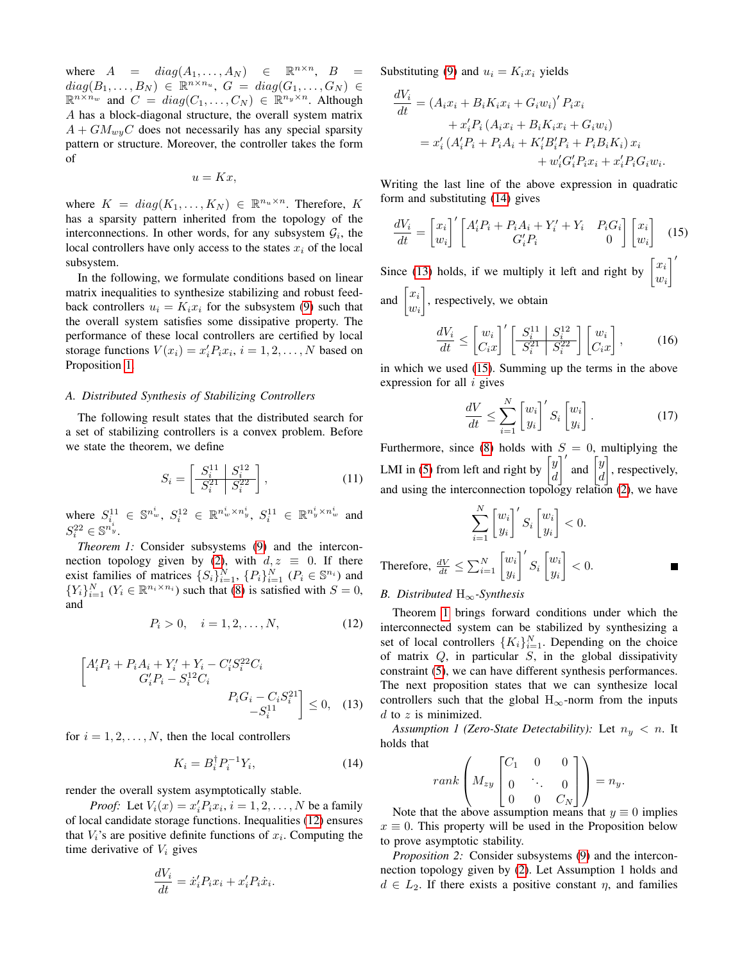where  $A = diag(A_1, ..., A_N) \in \mathbb{R}^{n \times n}$ ,  $B =$  $diag(B_1,\ldots,B_N) \in \mathbb{R}^{n \times n_u},\ G = diag(G_1,\ldots,G_N) \in$  $\mathbb{R}^{n \times n_w}$  and  $C = diag(C_1, ..., C_N) \in \mathbb{R}^{n_y \times n}$ . Although A has a block-diagonal structure, the overall system matrix  $A + GM_{wu}C$  does not necessarily has any special sparsity pattern or structure. Moreover, the controller takes the form of

$$
u=Kx,
$$

where  $K = diag(K_1, ..., K_N) \in \mathbb{R}^{n_u \times n}$ . Therefore, K has a sparsity pattern inherited from the topology of the interconnections. In other words, for any subsystem  $\mathcal{G}_i$ , the local controllers have only access to the states  $x_i$  of the local subsystem.

In the following, we formulate conditions based on linear matrix inequalities to synthesize stabilizing and robust feedback controllers  $u_i = K_i x_i$  for the subsystem [\(9\)](#page-1-5) such that the overall system satisfies some dissipative property. The performance of these local controllers are certified by local storage functions  $V(x_i) = x_i' P_i x_i$ ,  $i = 1, 2, ..., N$  based on Proposition [1.](#page-1-6)

### <span id="page-2-6"></span>*A. Distributed Synthesis of Stabilizing Controllers*

The following result states that the distributed search for a set of stabilizing controllers is a convex problem. Before we state the theorem, we define

$$
S_i = \left[\frac{S_i^{11} \mid S_i^{12}}{S_i^{21} \mid S_i^{22}}\right],\tag{11}
$$

where  $S_i^{11} \in \mathbb{S}^{n_w^i}$ ,  $S_i^{12} \in \mathbb{R}^{n_w^i \times n_y^i}$ ,  $S_i^{11} \in \mathbb{R}^{n_y^i \times n_w^i}$  and  $S_i^{22} \in \mathbb{S}^{n_y^i}$ .

<span id="page-2-4"></span>*Theorem 1:* Consider subsystems [\(9\)](#page-1-5) and the intercon-nection topology given by [\(2\)](#page-1-3), with  $d, z \equiv 0$ . If there exist families of matrices  $\{S_i\}_{i=1}^N$ ,  $\{P_i\}_{i=1}^N$   $(P_i \in \mathbb{S}^{n_i})$  and  ${Y_i}_{i=1}^N$   $(Y_i \in \mathbb{R}^{n_i \times n_i})$  such that [\(8\)](#page-1-7) is satisfied with  $S = 0$ , and

<span id="page-2-0"></span>
$$
P_i > 0, \quad i = 1, 2, \dots, N,
$$
 (12)

$$
\begin{bmatrix} A'_i P_i + P_i A_i + Y'_i + Y_i - C'_i S_i^{22} C_i \\ G'_i P_i - S_i^{12} C_i \\ P_i G_i - C_i S_i^{21} \\ -S_i^{11} \end{bmatrix} \leq 0, \quad (13)
$$

for  $i = 1, 2, ..., N$ , then the local controllers

<span id="page-2-1"></span>
$$
K_i = B_i^{\dagger} P_i^{-1} Y_i,\tag{14}
$$

.

render the overall system asymptotically stable.

*Proof:* Let  $V_i(x) = x_i' P_i x_i$ ,  $i = 1, 2, ..., N$  be a family of local candidate storage functions. Inequalities [\(12\)](#page-2-0) ensures that  $V_i$ 's are positive definite functions of  $x_i$ . Computing the time derivative of  $V_i$  gives

$$
\frac{dV_i}{dt} = \dot{x}'_i P_i x_i + x'_i P_i \dot{x}_i
$$

Substituting [\(9\)](#page-1-5) and  $u_i = K_i x_i$  yields

$$
\frac{dV_i}{dt} = (A_i x_i + B_i K_i x_i + G_i w_i)' P_i x_i \n+ x'_i P_i (A_i x_i + B_i K_i x_i + G_i w_i) \n= x'_i (A'_i P_i + P_i A_i + K'_i B'_i P_i + P_i B_i K_i) x_i \n+ w'_i G'_i P_i x_i + x'_i P_i G_i w_i.
$$

Writing the last line of the above expression in quadratic form and substituting [\(14\)](#page-2-1) gives

$$
\frac{dV_i}{dt} = \begin{bmatrix} x_i \\ w_i \end{bmatrix}' \begin{bmatrix} A_i' P_i + P_i A_i + Y_i' + Y_i & P_i G_i \\ G_i' P_i & 0 \end{bmatrix} \begin{bmatrix} x_i \\ w_i \end{bmatrix} \tag{15}
$$

Since [\(13\)](#page-2-2) holds, if we multiply it left and right by  $\begin{bmatrix} x_i \\ y_i \end{bmatrix}$  $w_i$  $\overline{\ }$ 

and  $\left[\begin{matrix} x_i \\ \vdots \end{matrix}\right]$  $w_i$ , respectively, we obtain

<span id="page-2-3"></span>
$$
\frac{dV_i}{dt} \le \left[\frac{w_i}{C_i x}\right]' \left[\frac{S_i^{11} \mid S_i^{12}}{S_i^{21} \mid S_i^{22}}\right] \left[\frac{w_i}{C_i x}\right],\tag{16}
$$

in which we used [\(15\)](#page-2-3). Summing up the terms in the above expression for all  $i$  gives

<span id="page-2-5"></span>
$$
\frac{dV}{dt} \le \sum_{i=1}^{N} \begin{bmatrix} w_i \\ y_i \end{bmatrix}' S_i \begin{bmatrix} w_i \\ y_i \end{bmatrix} . \tag{17}
$$

Furthermore, since [\(8\)](#page-1-7) holds with  $S = 0$ , multiplying the LMI in [\(5\)](#page-1-8) from left and right by  $\begin{bmatrix} y \\ y \end{bmatrix}$ d  $\int'$  and  $\int$ d , respectively, and using the interconnection topology relation [\(2\)](#page-1-3), we have

$$
\sum_{i=1}^{N} \begin{bmatrix} w_i \\ y_i \end{bmatrix}' S_i \begin{bmatrix} w_i \\ y_i \end{bmatrix} < 0.
$$
\nTherefore,

\n
$$
\frac{dV}{dt} \le \sum_{i=1}^{N} \begin{bmatrix} w_i \\ y_i \end{bmatrix}' S_i \begin{bmatrix} w_i \\ y_i \end{bmatrix} < 0.
$$

### <span id="page-2-7"></span>*B. Distributed* H∞*-Synthesis*

Theorem [1](#page-2-4) brings forward conditions under which the interconnected system can be stabilized by synthesizing a set of local controllers  $\{K_i\}_{i=1}^N$ . Depending on the choice of matrix  $Q$ , in particular  $S$ , in the global dissipativity constraint [\(5\)](#page-1-8), we can have different synthesis performances. The next proposition states that we can synthesize local controllers such that the global  $H_{\infty}$ -norm from the inputs  $d$  to  $z$  is minimized.

<span id="page-2-2"></span>*Assumption 1 (Zero-State Detectability):* Let  $n_y < n$ . It holds that

$$
rank \left( M_{zy} \begin{bmatrix} C_1 & 0 & 0 \\ 0 & \ddots & 0 \\ 0 & 0 & C_N \end{bmatrix} \right) = n_y.
$$

Note that the above assumption means that  $y \equiv 0$  implies  $x \equiv 0$ . This property will be used in the Proposition below to prove asymptotic stability.

*Proposition 2:* Consider subsystems [\(9\)](#page-1-5) and the interconnection topology given by [\(2\)](#page-1-3). Let Assumption 1 holds and  $d \in L_2$ . If there exists a positive constant  $\eta$ , and families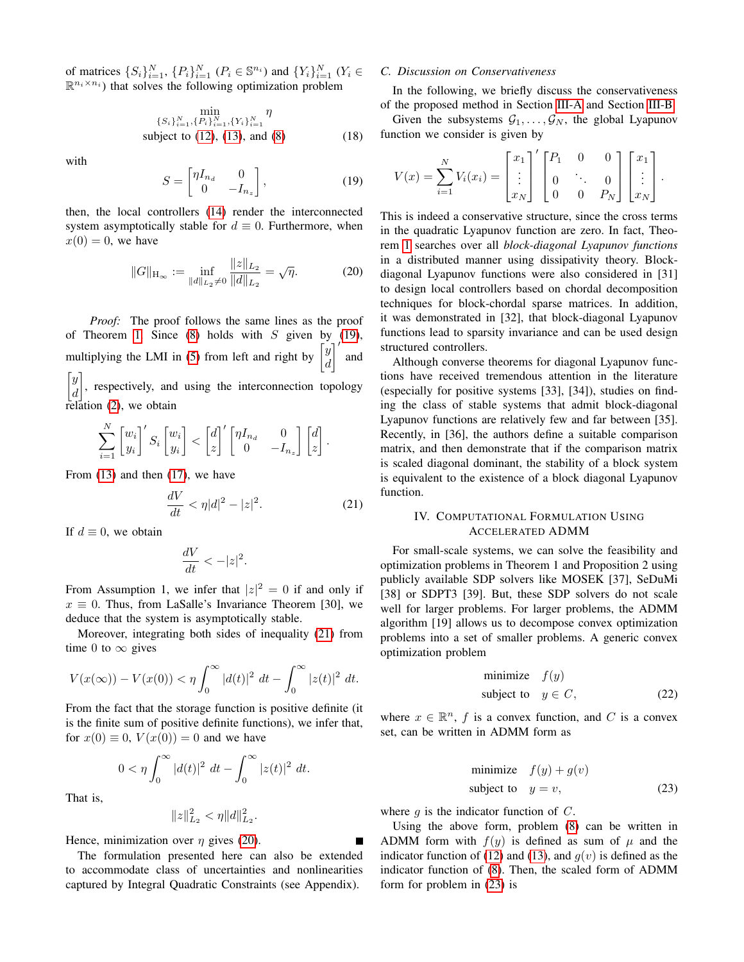of matrices  $\{S_i\}_{i=1}^N$ ,  $\{P_i\}_{i=1}^N$   $(P_i \in \mathbb{S}^{n_i})$  and  $\{Y_i\}_{i=1}^N$   $(Y_i \in$  $\mathbb{R}^{n_i \times n_i}$ ) that solves the following optimization problem

<span id="page-3-5"></span>
$$
\min_{\{S_i\}_{i=1}^N, \{P_i\}_{i=1}^N, \{Y_i\}_{i=1}^N} \eta
$$
\nsubject to (12), (13), and (8) (18)

with

<span id="page-3-1"></span>
$$
S = \begin{bmatrix} \eta I_{n_d} & 0\\ 0 & -I_{n_z} \end{bmatrix},
$$
 (19)

then, the local controllers [\(14\)](#page-2-1) render the interconnected system asymptotically stable for  $d \equiv 0$ . Furthermore, when  $x(0) = 0$ , we have

<span id="page-3-3"></span>
$$
||G||_{\mathcal{H}_{\infty}} := \inf_{||d||_{L_2} \neq 0} \frac{||z||_{L_2}}{||d||_{L_2}} = \sqrt{\eta}.
$$
 (20)

*Proof:* The proof follows the same lines as the proof of Theorem [1.](#page-2-4) Since  $(8)$  holds with S given by  $(19)$ , multiplying the LMI in [\(5\)](#page-1-8) from left and right by  $\hat{y}$ d  $\vert$ and  $\lceil y \rceil$ , respectively, and using the interconnection topology

d relation [\(2\)](#page-1-3), we obtain

$$
\sum_{i=1}^N \begin{bmatrix} w_i \\ y_i \end{bmatrix}' S_i \begin{bmatrix} w_i \\ y_i \end{bmatrix} < \begin{bmatrix} d \\ z \end{bmatrix}' \begin{bmatrix} \eta I_{n_d} & 0 \\ 0 & -I_{n_z} \end{bmatrix} \begin{bmatrix} d \\ z \end{bmatrix}.
$$

From  $(13)$  and then  $(17)$ , we have

<span id="page-3-2"></span>
$$
\frac{dV}{dt} < \eta |d|^2 - |z|^2. \tag{21}
$$

If  $d \equiv 0$ , we obtain

$$
\frac{dV}{dt} < -|z|^2.
$$

From Assumption 1, we infer that  $|z|^2 = 0$  if and only if  $x \equiv 0$ . Thus, from LaSalle's Invariance Theorem [30], we deduce that the system is asymptotically stable.

Moreover, integrating both sides of inequality [\(21\)](#page-3-2) from time 0 to  $\infty$  gives

$$
V(x(\infty)) - V(x(0)) < \eta \int_0^\infty |d(t)|^2 \ dt - \int_0^\infty |z(t)|^2 \ dt.
$$

From the fact that the storage function is positive definite (it is the finite sum of positive definite functions), we infer that, for  $x(0) \equiv 0$ ,  $V(x(0)) = 0$  and we have

$$
0 < \eta \int_0^\infty |d(t)|^2 \, dt - \int_0^\infty |z(t)|^2 \, dt.
$$

That is,

$$
||z||_{L_2}^2 < \eta ||d||_{L_2}^2.
$$

Hence, minimization over  $\eta$  gives [\(20\)](#page-3-3).

The formulation presented here can also be extended to accommodate class of uncertainties and nonlinearities captured by Integral Quadratic Constraints (see Appendix).

# <span id="page-3-6"></span>*C. Discussion on Conservativeness*

In the following, we briefly discuss the conservativeness of the proposed method in Section [III-A](#page-2-6) and Section [III-B.](#page-2-7)

Given the subsystems  $G_1, \ldots, G_N$ , the global Lyapunov function we consider is given by

$$
V(x) = \sum_{i=1}^{N} V_i(x_i) = \begin{bmatrix} x_1 \\ \vdots \\ x_N \end{bmatrix}^{\prime} \begin{bmatrix} P_1 & 0 & 0 \\ 0 & \ddots & 0 \\ 0 & 0 & P_N \end{bmatrix} \begin{bmatrix} x_1 \\ \vdots \\ x_N \end{bmatrix}.
$$

This is indeed a conservative structure, since the cross terms in the quadratic Lyapunov function are zero. In fact, Theorem [1](#page-2-4) searches over all *block-diagonal Lyapunov functions* in a distributed manner using dissipativity theory. Blockdiagonal Lyapunov functions were also considered in [31] to design local controllers based on chordal decomposition techniques for block-chordal sparse matrices. In addition, it was demonstrated in [32], that block-diagonal Lyapunov functions lead to sparsity invariance and can be used design structured controllers.

Although converse theorems for diagonal Lyapunov functions have received tremendous attention in the literature (especially for positive systems [33], [34]), studies on finding the class of stable systems that admit block-diagonal Lyapunov functions are relatively few and far between [35]. Recently, in [36], the authors define a suitable comparison matrix, and then demonstrate that if the comparison matrix is scaled diagonal dominant, the stability of a block system is equivalent to the existence of a block diagonal Lyapunov function.

# <span id="page-3-0"></span>IV. COMPUTATIONAL FORMULATION USING ACCELERATED ADMM

For small-scale systems, we can solve the feasibility and optimization problems in Theorem 1 and Proposition 2 using publicly available SDP solvers like MOSEK [37], SeDuMi [38] or SDPT3 [39]. But, these SDP solvers do not scale well for larger problems. For larger problems, the ADMM algorithm [19] allows us to decompose convex optimization problems into a set of smaller problems. A generic convex optimization problem

$$
\begin{array}{ll}\text{minimize} & f(y) \\ \text{subject to} & y \in C, \end{array} \tag{22}
$$

where  $x \in \mathbb{R}^n$ , f is a convex function, and C is a convex set, can be written in ADMM form as

<span id="page-3-4"></span>minimize 
$$
f(y) + g(v)
$$
  
subject to  $y = v$ , (23)

where  $q$  is the indicator function of  $C$ .

Using the above form, problem [\(8\)](#page-1-7) can be written in ADMM form with  $f(y)$  is defined as sum of  $\mu$  and the indicator function of [\(12\)](#page-2-0) and [\(13\)](#page-2-2), and  $g(v)$  is defined as the indicator function of [\(8\)](#page-1-7). Then, the scaled form of ADMM form for problem in [\(23\)](#page-3-4) is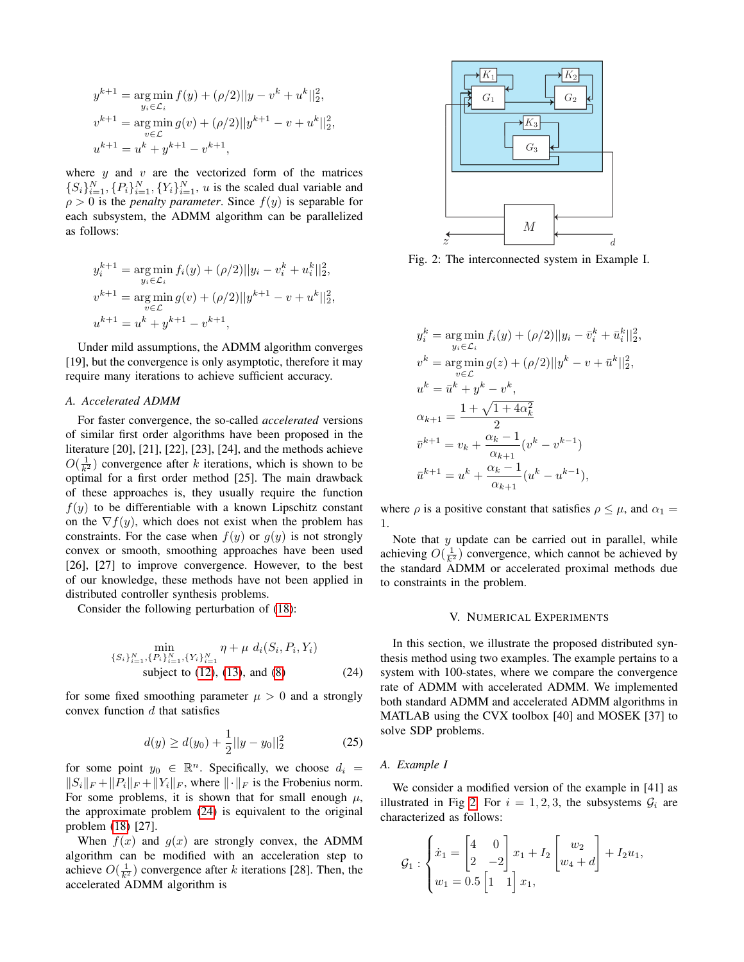$$
y^{k+1} = \underset{y_i \in \mathcal{L}_i}{\arg \min} f(y) + (\rho/2) ||y - v^k + u^k||_2^2,
$$
  

$$
v^{k+1} = \underset{v \in \mathcal{L}}{\arg \min} g(v) + (\rho/2) ||y^{k+1} - v + u^k||_2^2,
$$
  

$$
u^{k+1} = u^k + y^{k+1} - v^{k+1},
$$

where  $y$  and  $v$  are the vectorized form of the matrices  $\{S_i\}_{i=1}^N$ ,  $\{P_i\}_{i=1}^N$ ,  $\{Y_i\}_{i=1}^N$ , u is the scaled dual variable and  $\rho > 0$  is the *penalty parameter*. Since  $f(y)$  is separable for each subsystem, the ADMM algorithm can be parallelized as follows:

$$
y_i^{k+1} = \underset{y_i \in \mathcal{L}_i}{\arg \min} f_i(y) + (\rho/2) ||y_i - v_i^k + u_i^k||_2^2,
$$
  

$$
v^{k+1} = \underset{v \in \mathcal{L}}{\arg \min} g(v) + (\rho/2) ||y^{k+1} - v + u^k||_2^2,
$$
  

$$
u^{k+1} = u^k + y^{k+1} - v^{k+1},
$$

Under mild assumptions, the ADMM algorithm converges [19], but the convergence is only asymptotic, therefore it may require many iterations to achieve sufficient accuracy.

# *A. Accelerated ADMM*

For faster convergence, the so-called *accelerated* versions of similar first order algorithms have been proposed in the literature [20], [21], [22], [23], [24], and the methods achieve  $O(\frac{1}{k^2})$  convergence after k iterations, which is shown to be optimal for a first order method [25]. The main drawback of these approaches is, they usually require the function  $f(y)$  to be differentiable with a known Lipschitz constant on the  $\nabla f(y)$ , which does not exist when the problem has constraints. For the case when  $f(y)$  or  $g(y)$  is not strongly convex or smooth, smoothing approaches have been used [26], [27] to improve convergence. However, to the best of our knowledge, these methods have not been applied in distributed controller synthesis problems.

Consider the following perturbation of [\(18\)](#page-3-5):

<span id="page-4-1"></span>
$$
\min_{\{S_i\}_{i=1}^N, \{P_i\}_{i=1}^N, \{Y_i\}_{i=1}^N} \eta + \mu \ d_i(S_i, P_i, Y_i)
$$
\nsubject to (12), (13), and (8) (24)

for some fixed smoothing parameter  $\mu > 0$  and a strongly convex function  $d$  that satisfies

$$
d(y) \ge d(y_0) + \frac{1}{2}||y - y_0||_2^2
$$
 (25)

for some point  $y_0 \in \mathbb{R}^n$ . Specifically, we choose  $d_i =$  $||S_i||_F + ||P_i||_F + ||Y_i||_F$ , where  $|| \cdot ||_F$  is the Frobenius norm. For some problems, it is shown that for small enough  $\mu$ , the approximate problem [\(24\)](#page-4-1) is equivalent to the original problem [\(18\)](#page-3-5) [27].

When  $f(x)$  and  $g(x)$  are strongly convex, the ADMM algorithm can be modified with an acceleration step to achieve  $O(\frac{1}{k^2})$  convergence after k iterations [28]. Then, the accelerated ADMM algorithm is

<span id="page-4-2"></span>

Fig. 2: The interconnected system in Example I.

,

$$
y_i^k = \underset{y_i \in \mathcal{L}_i}{\arg \min} f_i(y) + (\rho/2) ||y_i - \bar{v}_i^k + \bar{u}_i^k||_2^2
$$
  
\n
$$
v^k = \underset{v \in \mathcal{L}}{\arg \min} g(z) + (\rho/2) ||y^k - v + \bar{u}^k||_2^2
$$
  
\n
$$
u^k = \bar{u}^k + y^k - v^k
$$
  
\n
$$
\alpha_{k+1} = \frac{1 + \sqrt{1 + 4\alpha_k^2}}{2}
$$
  
\n
$$
\bar{v}^{k+1} = v_k + \frac{\alpha_k - 1}{\alpha_{k+1}} (v^k - v^{k-1})
$$
  
\n
$$
\bar{u}^{k+1} = u^k + \frac{\alpha_k - 1}{\alpha_{k+1}} (u^k - u^{k-1}),
$$

where  $\rho$  is a positive constant that satisfies  $\rho \leq \mu$ , and  $\alpha_1 =$ 1.

Note that  $y$  update can be carried out in parallel, while achieving  $O(\frac{1}{k^2})$  convergence, which cannot be achieved by the standard ADMM or accelerated proximal methods due to constraints in the problem.

### V. NUMERICAL EXPERIMENTS

<span id="page-4-0"></span>In this section, we illustrate the proposed distributed synthesis method using two examples. The example pertains to a system with 100-states, where we compare the convergence rate of ADMM with accelerated ADMM. We implemented both standard ADMM and accelerated ADMM algorithms in MATLAB using the CVX toolbox [40] and MOSEK [37] to solve SDP problems.

### *A. Example I*

We consider a modified version of the example in [41] as illustrated in Fig [2.](#page-4-2) For  $i = 1, 2, 3$ , the subsystems  $\mathcal{G}_i$  are characterized as follows:

$$
G_1: \begin{cases} \dot{x}_1 = \begin{bmatrix} 4 & 0 \\ 2 & -2 \end{bmatrix} x_1 + I_2 \begin{bmatrix} w_2 \\ w_4 + d \end{bmatrix} + I_2 u_1, \\ w_1 = 0.5 \begin{bmatrix} 1 & 1 \end{bmatrix} x_1, \end{cases}
$$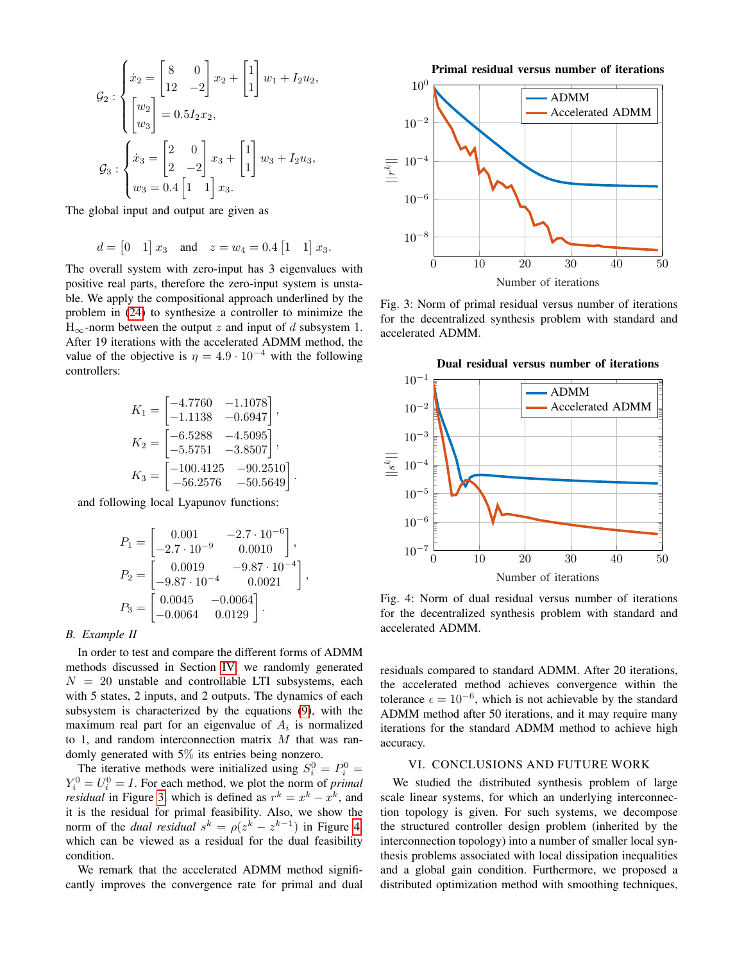$$
G_2: \begin{cases} \dot{x}_2 = \begin{bmatrix} 8 & 0 \\ 12 & -2 \end{bmatrix} x_2 + \begin{bmatrix} 1 \\ 1 \end{bmatrix} w_1 + I_2 u_2, \\ \begin{bmatrix} w_2 \\ w_3 \end{bmatrix} = 0.5 I_2 x_2, \\ G_3: \begin{cases} \dot{x}_3 = \begin{bmatrix} 2 & 0 \\ 2 & -2 \end{bmatrix} x_3 + \begin{bmatrix} 1 \\ 1 \end{bmatrix} w_3 + I_2 u_3, \\ w_3 = 0.4 \begin{bmatrix} 1 & 1 \end{bmatrix} x_3. \end{cases}
$$

The global input and output are given as

$$
d = [0 \t1] x_3
$$
 and  $z = w_4 = 0.4 [1 \t1] x_3$ .

The overall system with zero-input has 3 eigenvalues with positive real parts, therefore the zero-input system is unstable. We apply the compositional approach underlined by the problem in [\(24\)](#page-4-1) to synthesize a controller to minimize the  $H_{\infty}$ -norm between the output z and input of d subsystem 1. After 19 iterations with the accelerated ADMM method, the value of the objective is  $\eta = 4.9 \cdot 10^{-4}$  with the following controllers:

$$
K_1 = \begin{bmatrix} -4.7760 & -1.1078 \\ -1.1138 & -0.6947 \end{bmatrix},
$$
  
\n
$$
K_2 = \begin{bmatrix} -6.5288 & -4.5095 \\ -5.5751 & -3.8507 \end{bmatrix},
$$
  
\n
$$
K_3 = \begin{bmatrix} -100.4125 & -90.2510 \\ -56.2576 & -50.5649 \end{bmatrix}
$$

.

,

and following local Lyapunov functions:

$$
P_1 = \begin{bmatrix} 0.001 & -2.7 \cdot 10^{-6} \\ -2.7 \cdot 10^{-9} & 0.0010 \end{bmatrix},
$$
  
\n
$$
P_2 = \begin{bmatrix} 0.0019 & -9.87 \cdot 10^{-4} \\ -9.87 \cdot 10^{-4} & 0.0021 \end{bmatrix}
$$
  
\n
$$
P_3 = \begin{bmatrix} 0.0045 & -0.0064 \\ -0.0064 & 0.0129 \end{bmatrix}.
$$

### *B. Example II*

In order to test and compare the different forms of ADMM methods discussed in Section [IV,](#page-3-0) we randomly generated  $N = 20$  unstable and controllable LTI subsystems, each with 5 states, 2 inputs, and 2 outputs. The dynamics of each subsystem is characterized by the equations [\(9\)](#page-1-5), with the maximum real part for an eigenvalue of  $A_i$  is normalized to 1, and random interconnection matrix  $M$  that was randomly generated with 5% its entries being nonzero.

The iterative methods were initialized using  $S_i^0 = P_i^0 =$  $Y_i^0 = U_i^0 = I$ . For each method, we plot the norm of *primal residual* in Figure [3,](#page-5-1) which is defined as  $r^k = x^k - x^k$ , and it is the residual for primal feasibility. Also, we show the norm of the *dual residual*  $s^k = \rho(z^k - z^{k-1})$  in Figure [4,](#page-5-2) which can be viewed as a residual for the dual feasibility condition.

We remark that the accelerated ADMM method significantly improves the convergence rate for primal and dual

<span id="page-5-1"></span>

Fig. 3: Norm of primal residual versus number of iterations for the decentralized synthesis problem with standard and accelerated ADMM.

<span id="page-5-2"></span>

Fig. 4: Norm of dual residual versus number of iterations for the decentralized synthesis problem with standard and accelerated ADMM.

residuals compared to standard ADMM. After 20 iterations, the accelerated method achieves convergence within the tolerance  $\epsilon = 10^{-6}$ , which is not achievable by the standard ADMM method after 50 iterations, and it may require many iterations for the standard ADMM method to achieve high accuracy.

### VI. CONCLUSIONS AND FUTURE WORK

<span id="page-5-0"></span>We studied the distributed synthesis problem of large scale linear systems, for which an underlying interconnection topology is given. For such systems, we decompose the structured controller design problem (inherited by the interconnection topology) into a number of smaller local synthesis problems associated with local dissipation inequalities and a global gain condition. Furthermore, we proposed a distributed optimization method with smoothing techniques,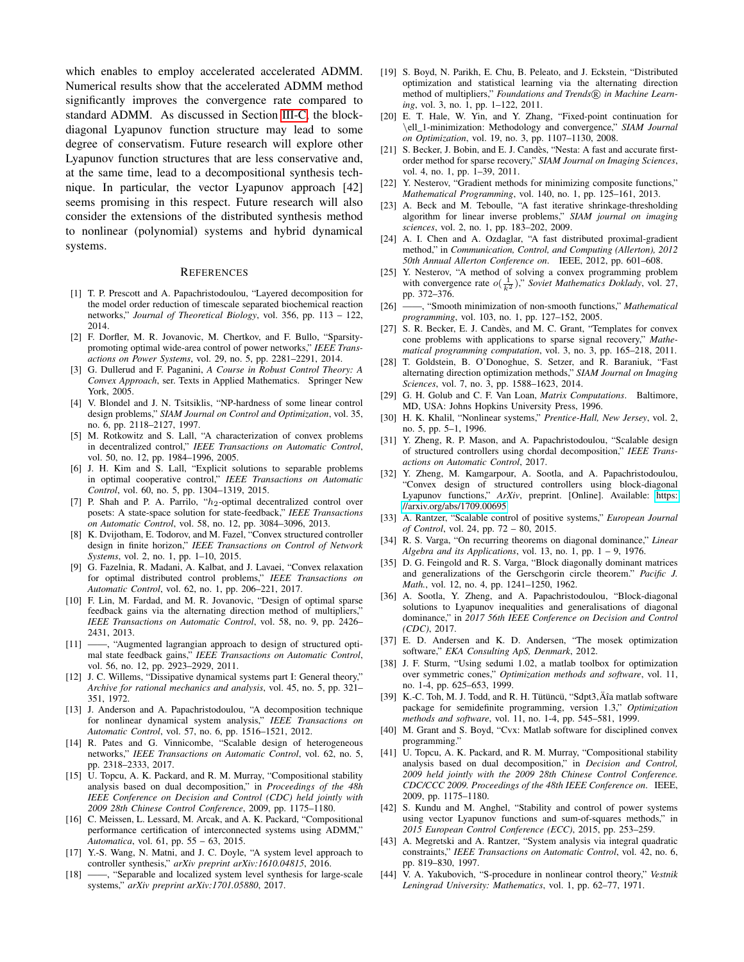which enables to employ accelerated accelerated ADMM. Numerical results show that the accelerated ADMM method significantly improves the convergence rate compared to standard ADMM. As discussed in Section [III-C,](#page-3-6) the blockdiagonal Lyapunov function structure may lead to some degree of conservatism. Future research will explore other Lyapunov function structures that are less conservative and, at the same time, lead to a decompositional synthesis technique. In particular, the vector Lyapunov approach [42] seems promising in this respect. Future research will also consider the extensions of the distributed synthesis method to nonlinear (polynomial) systems and hybrid dynamical systems.

### **REFERENCES**

- [1] T. P. Prescott and A. Papachristodoulou, "Layered decomposition for the model order reduction of timescale separated biochemical reaction networks," *Journal of Theoretical Biology*, vol. 356, pp. 113 – 122, 2014.
- [2] F. Dorfler, M. R. Jovanovic, M. Chertkov, and F. Bullo, "Sparsitypromoting optimal wide-area control of power networks," *IEEE Transactions on Power Systems*, vol. 29, no. 5, pp. 2281–2291, 2014.
- [3] G. Dullerud and F. Paganini, *A Course in Robust Control Theory: A Convex Approach*, ser. Texts in Applied Mathematics. Springer New York, 2005.
- [4] V. Blondel and J. N. Tsitsiklis, "NP-hardness of some linear control design problems," *SIAM Journal on Control and Optimization*, vol. 35, no. 6, pp. 2118–2127, 1997.
- [5] M. Rotkowitz and S. Lall, "A characterization of convex problems in decentralized control," *IEEE Transactions on Automatic Control*, vol. 50, no. 12, pp. 1984–1996, 2005.
- [6] J. H. Kim and S. Lall, "Explicit solutions to separable problems in optimal cooperative control," *IEEE Transactions on Automatic Control*, vol. 60, no. 5, pp. 1304–1319, 2015.
- [7] P. Shah and P. A. Parrilo, " $h_2$ -optimal decentralized control over posets: A state-space solution for state-feedback," *IEEE Transactions on Automatic Control*, vol. 58, no. 12, pp. 3084–3096, 2013.
- [8] K. Dvijotham, E. Todorov, and M. Fazel, "Convex structured controller design in finite horizon," *IEEE Transactions on Control of Network Systems*, vol. 2, no. 1, pp. 1–10, 2015.
- [9] G. Fazelnia, R. Madani, A. Kalbat, and J. Lavaei, "Convex relaxation for optimal distributed control problems," *IEEE Transactions on Automatic Control*, vol. 62, no. 1, pp. 206–221, 2017.
- [10] F. Lin, M. Fardad, and M. R. Jovanovic, "Design of optimal sparse feedback gains via the alternating direction method of multipliers," *IEEE Transactions on Automatic Control*, vol. 58, no. 9, pp. 2426– 2431, 2013.
- [11] -, "Augmented lagrangian approach to design of structured optimal state feedback gains," *IEEE Transactions on Automatic Control*, vol. 56, no. 12, pp. 2923–2929, 2011.
- [12] J. C. Willems, "Dissipative dynamical systems part I: General theory," *Archive for rational mechanics and analysis*, vol. 45, no. 5, pp. 321– 351, 1972.
- [13] J. Anderson and A. Papachristodoulou, "A decomposition technique for nonlinear dynamical system analysis," *IEEE Transactions on Automatic Control*, vol. 57, no. 6, pp. 1516–1521, 2012.
- [14] R. Pates and G. Vinnicombe, "Scalable design of heterogeneous networks," *IEEE Transactions on Automatic Control*, vol. 62, no. 5, pp. 2318–2333, 2017.
- [15] U. Topcu, A. K. Packard, and R. M. Murray, "Compositional stability analysis based on dual decomposition," in *Proceedings of the 48h IEEE Conference on Decision and Control (CDC) held jointly with 2009 28th Chinese Control Conference*, 2009, pp. 1175–1180.
- [16] C. Meissen, L. Lessard, M. Arcak, and A. K. Packard, "Compositional performance certification of interconnected systems using ADMM," *Automatica*, vol. 61, pp. 55 – 63, 2015.
- [17] Y.-S. Wang, N. Matni, and J. C. Doyle, "A system level approach to controller synthesis," *arXiv preprint arXiv:1610.04815*, 2016.<br>[18] — "Senarable and localized system level synthesis for large
- $-$ , "Separable and localized system level synthesis for large-scale systems," *arXiv preprint arXiv:1701.05880*, 2017.
- [19] S. Boyd, N. Parikh, E. Chu, B. Peleato, and J. Eckstein, "Distributed optimization and statistical learning via the alternating direction method of multipliers," Foundations and Trends® in Machine Learn*ing*, vol. 3, no. 1, pp. 1–122, 2011.
- [20] E. T. Hale, W. Yin, and Y. Zhang, "Fixed-point continuation for \ell\_1-minimization: Methodology and convergence," *SIAM Journal on Optimization*, vol. 19, no. 3, pp. 1107–1130, 2008.
- [21] S. Becker, J. Bobin, and E. J. Candès, "Nesta: A fast and accurate firstorder method for sparse recovery," *SIAM Journal on Imaging Sciences*, vol. 4, no. 1, pp. 1–39, 2011.
- [22] Y. Nesterov, "Gradient methods for minimizing composite functions," *Mathematical Programming*, vol. 140, no. 1, pp. 125–161, 2013.
- [23] A. Beck and M. Teboulle, "A fast iterative shrinkage-thresholding algorithm for linear inverse problems," *SIAM journal on imaging sciences*, vol. 2, no. 1, pp. 183–202, 2009.
- [24] A. I. Chen and A. Ozdaglar, "A fast distributed proximal-gradient method," in *Communication, Control, and Computing (Allerton), 2012 50th Annual Allerton Conference on*. IEEE, 2012, pp. 601–608.
- [25] Y. Nesterov, "A method of solving a convex programming problem with convergence rate  $o(\frac{1}{k^2})$ ," *Soviet Mathematics Doklady*, vol. 27, pp. 372–376.
- [26] ——, "Smooth minimization of non-smooth functions," *Mathematical programming*, vol. 103, no. 1, pp. 127–152, 2005.
- [27] S. R. Becker, E. J. Candès, and M. C. Grant, "Templates for convex cone problems with applications to sparse signal recovery," *Mathematical programming computation*, vol. 3, no. 3, pp. 165–218, 2011.
- [28] T. Goldstein, B. O'Donoghue, S. Setzer, and R. Baraniuk, "Fast alternating direction optimization methods," *SIAM Journal on Imaging Sciences*, vol. 7, no. 3, pp. 1588–1623, 2014.
- [29] G. H. Golub and C. F. Van Loan, *Matrix Computations*. Baltimore, MD, USA: Johns Hopkins University Press, 1996.
- [30] H. K. Khalil, "Nonlinear systems," *Prentice-Hall, New Jersey*, vol. 2, no. 5, pp. 5–1, 1996.
- [31] Y. Zheng, R. P. Mason, and A. Papachristodoulou, "Scalable design of structured controllers using chordal decomposition," *IEEE Transactions on Automatic Control*, 2017.
- [32] Y. Zheng, M. Kamgarpour, A. Sootla, and A. Papachristodoulou, "Convex design of structured controllers using block-diagonal Lyapunov functions," *ArXiv*, preprint. [Online]. Available: [https:](https://arxiv.org/abs/1709.00695) [//arxiv.org/abs/1709.00695](https://arxiv.org/abs/1709.00695)
- [33] A. Rantzer, "Scalable control of positive systems," *European Journal of Control*, vol. 24, pp. 72 – 80, 2015.
- [34] R. S. Varga, "On recurring theorems on diagonal dominance," *Linear Algebra and its Applications*, vol. 13, no. 1, pp. 1 – 9, 1976.
- [35] D. G. Feingold and R. S. Varga, "Block diagonally dominant matrices and generalizations of the Gerschgorin circle theorem." *Pacific J. Math.*, vol. 12, no. 4, pp. 1241–1250, 1962.
- [36] A. Sootla, Y. Zheng, and A. Papachristodoulou, "Block-diagonal solutions to Lyapunov inequalities and generalisations of diagonal dominance," in *2017 56th IEEE Conference on Decision and Control (CDC)*, 2017.
- [37] E. D. Andersen and K. D. Andersen, "The mosek optimization software," *EKA Consulting ApS, Denmark*, 2012.
- [38] J. F. Sturm, "Using sedumi 1.02, a matlab toolbox for optimization over symmetric cones," *Optimization methods and software*, vol. 11, no. 1-4, pp. 625–653, 1999.
- [39] K.-C. Toh, M. J. Todd, and R. H. Tütüncü, "Sdpt3, Äîa matlab software package for semidefinite programming, version 1.3," *Optimization methods and software*, vol. 11, no. 1-4, pp. 545–581, 1999.
- [40] M. Grant and S. Boyd, "Cvx: Matlab software for disciplined convex programming."
- [41] U. Topcu, A. K. Packard, and R. M. Murray, "Compositional stability analysis based on dual decomposition," in *Decision and Control, 2009 held jointly with the 2009 28th Chinese Control Conference. CDC/CCC 2009. Proceedings of the 48th IEEE Conference on*. IEEE, 2009, pp. 1175–1180.
- [42] S. Kundu and M. Anghel, "Stability and control of power systems using vector Lyapunov functions and sum-of-squares methods," in *2015 European Control Conference (ECC)*, 2015, pp. 253–259.
- [43] A. Megretski and A. Rantzer, "System analysis via integral quadratic constraints," *IEEE Transactions on Automatic Control*, vol. 42, no. 6, pp. 819–830, 1997.
- [44] V. A. Yakubovich, "S-procedure in nonlinear control theory," *Vestnik Leningrad University: Mathematics*, vol. 1, pp. 62–77, 1971.